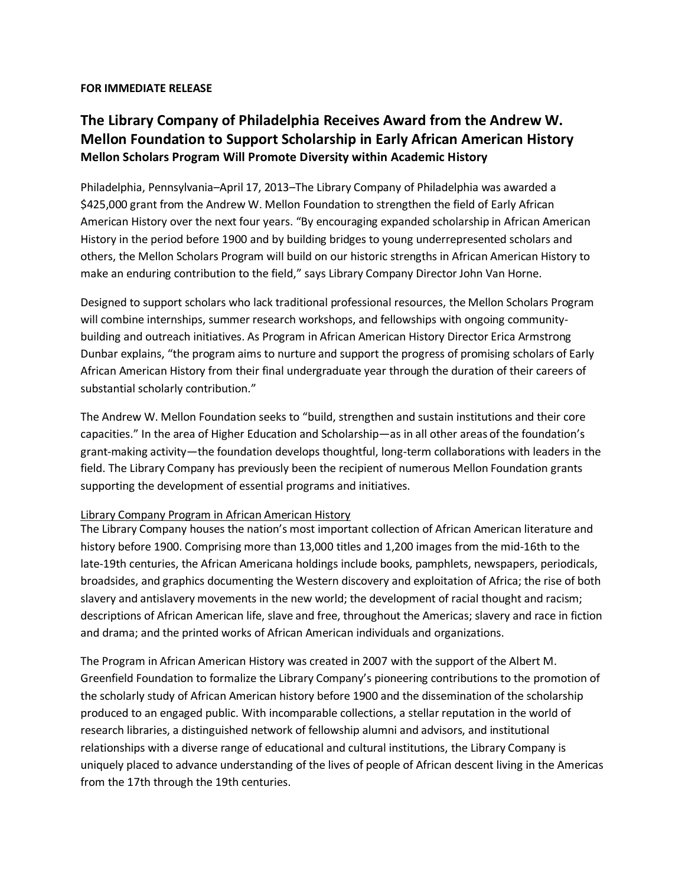## **FOR IMMEDIATE RELEASE**

## **The Library Company of Philadelphia Receives Award from the Andrew W. Mellon Foundation to Support Scholarship in Early African American History Mellon Scholars Program Will Promote Diversity within Academic History**

Philadelphia, Pennsylvania–April 17, 2013–The Library Company of Philadelphia was awarded a \$425,000 grant from the Andrew W. Mellon Foundation to strengthen the field of Early African American History over the next four years. "By encouraging expanded scholarship in African American History in the period before 1900 and by building bridges to young underrepresented scholars and others, the Mellon Scholars Program will build on our historic strengths in African American History to make an enduring contribution to the field," says Library Company Director John Van Horne.

Designed to support scholars who lack traditional professional resources, the Mellon Scholars Program will combine internships, summer research workshops, and fellowships with ongoing communitybuilding and outreach initiatives. As Program in African American History Director Erica Armstrong Dunbar explains, "the program aims to nurture and support the progress of promising scholars of Early African American History from their final undergraduate year through the duration of their careers of substantial scholarly contribution."

The Andrew W. Mellon Foundation seeks to "build, strengthen and sustain institutions and their core capacities." In the area of Higher Education and Scholarship—as in all other areas of the foundation's grant-making activity—the foundation develops thoughtful, long-term collaborations with leaders in the field. The Library Company has previously been the recipient of numerous Mellon Foundation grants supporting the development of essential programs and initiatives.

## Library Company Program in African American History

The Library Company houses the nation's most important collection of African American literature and history before 1900. Comprising more than 13,000 titles and 1,200 images from the mid-16th to the late-19th centuries, the African Americana holdings include books, pamphlets, newspapers, periodicals, broadsides, and graphics documenting the Western discovery and exploitation of Africa; the rise of both slavery and antislavery movements in the new world; the development of racial thought and racism; descriptions of African American life, slave and free, throughout the Americas; slavery and race in fiction and drama; and the printed works of African American individuals and organizations.

The Program in African American History was created in 2007 with the support of the Albert M. Greenfield Foundation to formalize the Library Company's pioneering contributions to the promotion of the scholarly study of African American history before 1900 and the dissemination of the scholarship produced to an engaged public. With incomparable collections, a stellar reputation in the world of research libraries, a distinguished network of fellowship alumni and advisors, and institutional relationships with a diverse range of educational and cultural institutions, the Library Company is uniquely placed to advance understanding of the lives of people of African descent living in the Americas from the 17th through the 19th centuries.